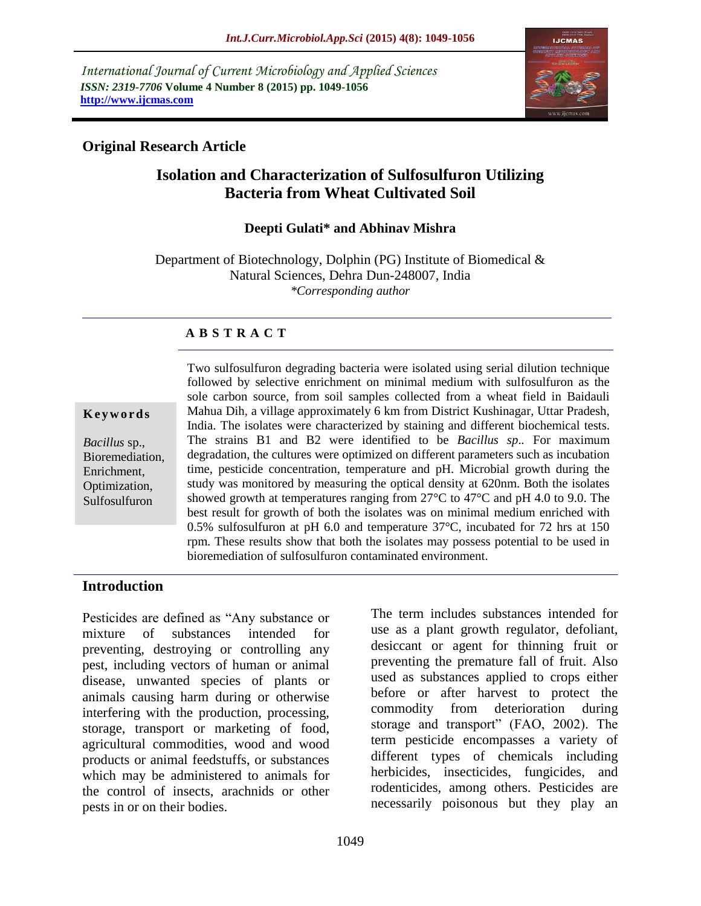*International Journal of Current Microbiology and Applied Sciences ISSN: 2319-7706* **Volume 4 Number 8 (2015) pp. 1049-1056 http://www.ijcmas.com**



### **Original Research Article**

# **Isolation and Characterization of Sulfosulfuron Utilizing Bacteria from Wheat Cultivated Soil**

#### **Deepti Gulati\* and Abhinav Mishra**

Department of Biotechnology, Dolphin (PG) Institute of Biomedical & Natural Sciences, Dehra Dun-248007, India *\*Corresponding author*

#### **A B S T R A C T**

#### **K e y w o r d s**

*Bacillus* sp., Bioremediation, Enrichment, Optimization, Sulfosulfuron

Two sulfosulfuron degrading bacteria were isolated using serial dilution technique followed by selective enrichment on minimal medium with sulfosulfuron as the sole carbon source, from soil samples collected from a wheat field in Baidauli Mahua Dih, a village approximately 6 km from District Kushinagar, Uttar Pradesh, India. The isolates were characterized by staining and different biochemical tests. The strains B1 and B2 were identified to be *Bacillus sp*.*.* For maximum degradation, the cultures were optimized on different parameters such as incubation time, pesticide concentration, temperature and pH. Microbial growth during the study was monitored by measuring the optical density at 620nm. Both the isolates showed growth at temperatures ranging from  $27^{\circ}$ C to  $47^{\circ}$ C and pH 4.0 to 9.0. The best result for growth of both the isolates was on minimal medium enriched with 0.5% sulfosulfuron at pH 6.0 and temperature 37°C, incubated for 72 hrs at 150 rpm. These results show that both the isolates may possess potential to be used in bioremediation of sulfosulfuron contaminated environment.

#### **Introduction**

Pesticides are defined as "Any substance or mixture of substances intended for preventing, destroying or controlling any pest, including vectors of human or animal disease, unwanted species of plants or animals causing harm during or otherwise interfering with the production, processing, storage, transport or marketing of food, agricultural commodities, wood and wood products or animal feedstuffs, or substances which may be administered to animals for the control of insects, arachnids or other pests in or on their bodies.

The term includes substances intended for use as a plant growth regulator, defoliant, desiccant or agent for thinning fruit or preventing the premature fall of fruit. Also used as substances applied to crops either before or after harvest to protect the commodity from deterioration during storage and transport" (FAO, 2002). The term pesticide encompasses a variety of different types of chemicals including herbicides, insecticides, fungicides, and rodenticides, among others. Pesticides are necessarily poisonous but they play an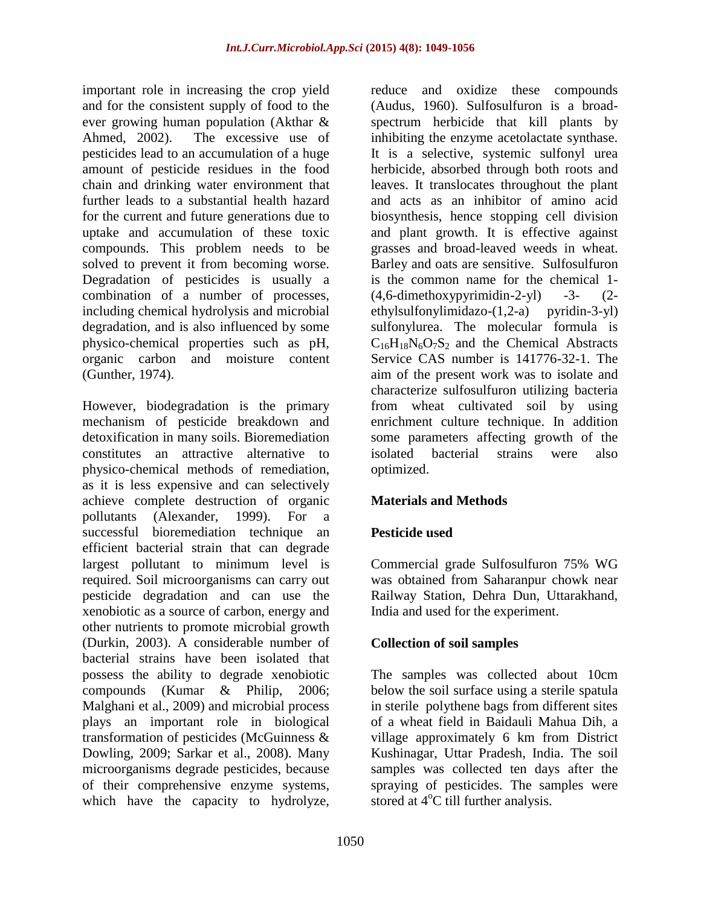important role in increasing the crop yield and for the consistent supply of food to the ever growing human population (Akthar & Ahmed, 2002). The excessive use of pesticides lead to an accumulation of a huge amount of pesticide residues in the food chain and drinking water environment that further leads to a substantial health hazard for the current and future generations due to uptake and accumulation of these toxic compounds. This problem needs to be solved to prevent it from becoming worse. Degradation of pesticides is usually a combination of a number of processes, including chemical hydrolysis and microbial degradation, and is also influenced by some physico-chemical properties such as pH, organic carbon and moisture content (Gunther, 1974).

However, biodegradation is the primary mechanism of pesticide breakdown and detoxification in many soils. Bioremediation constitutes an attractive alternative to physico-chemical methods of remediation, as it is less expensive and can selectively achieve complete destruction of organic pollutants (Alexander, 1999). For a successful bioremediation technique an efficient bacterial strain that can degrade largest pollutant to minimum level is required. Soil microorganisms can carry out pesticide degradation and can use the xenobiotic as a source of carbon, energy and other nutrients to promote microbial growth (Durkin, 2003). A considerable number of bacterial strains have been isolated that possess the ability to degrade xenobiotic compounds (Kumar & Philip, 2006; Malghani et al., 2009) and microbial process plays an important role in biological transformation of pesticides (McGuinness & Dowling, 2009; Sarkar et al., 2008). Many microorganisms degrade pesticides, because of their comprehensive enzyme systems, which have the capacity to hydrolyze,

reduce and oxidize these compounds (Audus, 1960). Sulfosulfuron is a broadspectrum herbicide that kill plants by inhibiting the enzyme acetolactate synthase. It is a selective, systemic sulfonyl urea herbicide, absorbed through both roots and leaves. It translocates throughout the plant and acts as an inhibitor of amino acid biosynthesis, hence stopping cell division and plant growth. It is effective against grasses and broad-leaved weeds in wheat. Barley and oats are sensitive. Sulfosulfuron is the common name for the chemical 1-  $(4,6$ -dimethoxypyrimidin-2-yl) -3-  $(2$  $ethylsulfonylimidazo-(1,2-a)$  pyridin-3-yl) sulfonylurea. The molecular formula is  $C_{16}H_{18}N_6O_7S_2$  and the Chemical Abstracts Service CAS number is 141776-32-1. The aim of the present work was to isolate and characterize sulfosulfuron utilizing bacteria from wheat cultivated soil by using enrichment culture technique. In addition some parameters affecting growth of the isolated bacterial strains were also optimized.

# **Materials and Methods**

#### **Pesticide used**

Commercial grade Sulfosulfuron 75% WG was obtained from Saharanpur chowk near Railway Station, Dehra Dun, Uttarakhand, India and used for the experiment.

#### **Collection of soil samples**

The samples was collected about 10cm below the soil surface using a sterile spatula in sterile polythene bags from different sites of a wheat field in Baidauli Mahua Dih, a village approximately 6 km from District Kushinagar, Uttar Pradesh, India. The soil samples was collected ten days after the spraying of pesticides. The samples were stored at  $4^{\circ}$ C till further analysis.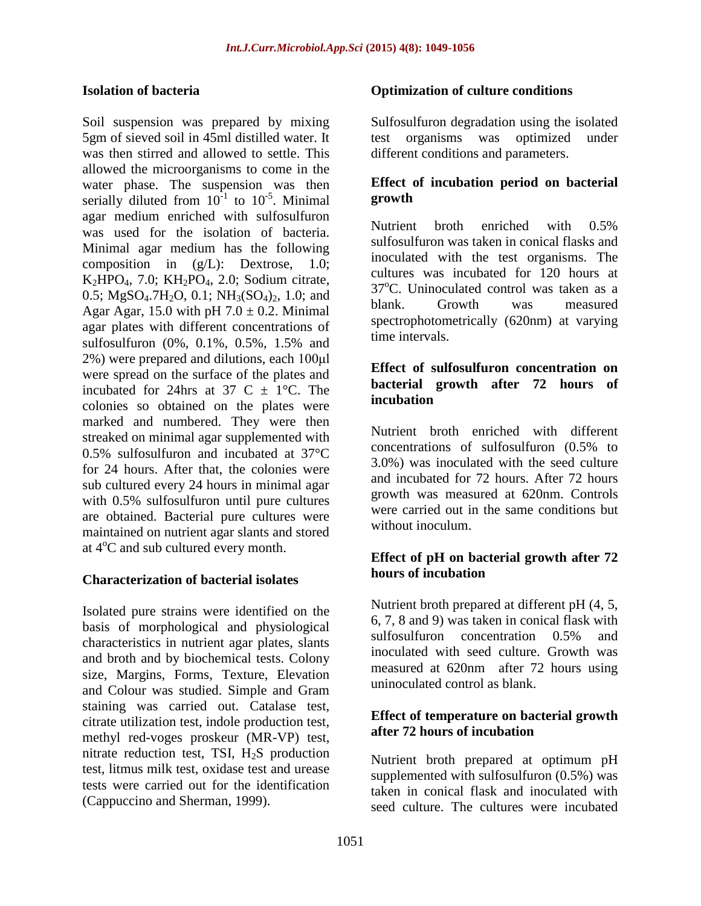#### **Isolation of bacteria**

Soil suspension was prepared by mixing 5gm of sieved soil in 45ml distilled water. It was then stirred and allowed to settle. This allowed the microorganisms to come in the water phase. The suspension was then serially diluted from  $10^{-1}$  to  $10^{-5}$ . Minimal agar medium enriched with sulfosulfuron was used for the isolation of bacteria. Minimal agar medium has the following composition in (g/L): Dextrose, 1.0; K<sub>2</sub>HPO<sub>4</sub>, 7.0; KH<sub>2</sub>PO<sub>4</sub>, 2.0; Sodium citrate, 0.5; MgSO<sub>4</sub>.7H<sub>2</sub>O, 0.1; NH<sub>3</sub>(SO<sub>4</sub>)<sub>2</sub>, 1.0; and Agar Agar, 15.0 with pH  $7.0 \pm 0.2$ . Minimal agar plates with different concentrations of sulfosulfuron (0%, 0.1%, 0.5%, 1.5% and 2%) were prepared and dilutions, each 100μl were spread on the surface of the plates and incubated for 24hrs at 37 C  $\pm$  1°C. The colonies so obtained on the plates were marked and numbered. They were then streaked on minimal agar supplemented with 0.5% sulfosulfuron and incubated at 37°C for 24 hours. After that, the colonies were sub cultured every 24 hours in minimal agar with 0.5% sulfosulfuron until pure cultures are obtained. Bacterial pure cultures were maintained on nutrient agar slants and stored at  $4^{\circ}$ C and sub cultured every month.

#### **Characterization of bacterial isolates**

Isolated pure strains were identified on the basis of morphological and physiological characteristics in nutrient agar plates, slants and broth and by biochemical tests. Colony size, Margins, Forms, Texture, Elevation and Colour was studied. Simple and Gram staining was carried out. Catalase test, citrate utilization test, indole production test, methyl red-voges proskeur (MR-VP) test, nitrate reduction test, TSI,  $H_2S$  production test, litmus milk test, oxidase test and urease tests were carried out for the identification (Cappuccino and Sherman, 1999).

#### **Optimization of culture conditions**

Sulfosulfuron degradation using the isolated test organisms was optimized under different conditions and parameters.

### **Effect of incubation period on bacterial growth**

Nutrient broth enriched with 0.5% sulfosulfuron was taken in conical flasks and inoculated with the test organisms. The cultures was incubated for 120 hours at  $37^{\circ}$ C. Uninoculated control was taken as a blank. Growth was measured spectrophotometrically (620nm) at varying time intervals.

#### **Effect of sulfosulfuron concentration on bacterial growth after 72 hours of incubation**

Nutrient broth enriched with different concentrations of sulfosulfuron (0.5% to 3.0%) was inoculated with the seed culture and incubated for 72 hours. After 72 hours growth was measured at 620nm. Controls were carried out in the same conditions but without inoculum.

### **Effect of pH on bacterial growth after 72 hours of incubation**

Nutrient broth prepared at different pH (4, 5, 6, 7, 8 and 9) was taken in conical flask with sulfosulfuron concentration 0.5% and inoculated with seed culture. Growth was measured at 620nm after 72 hours using uninoculated control as blank.

#### **Effect of temperature on bacterial growth after 72 hours of incubation**

Nutrient broth prepared at optimum pH supplemented with sulfosulfuron (0.5%) was taken in conical flask and inoculated with seed culture. The cultures were incubated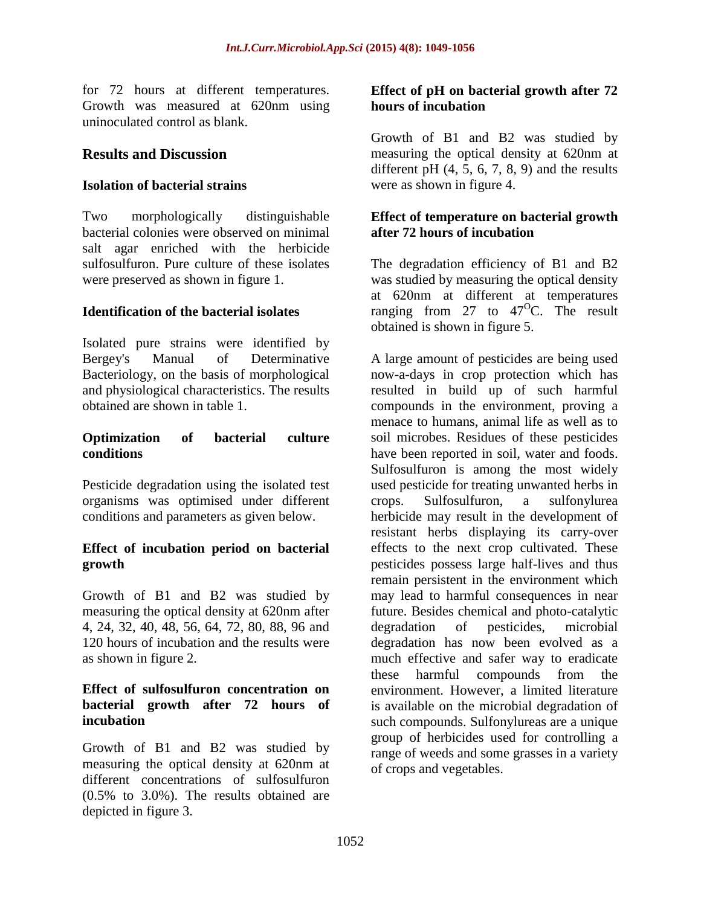for 72 hours at different temperatures. Growth was measured at 620nm using uninoculated control as blank.

## **Results and Discussion**

#### **Isolation of bacterial strains**

Two morphologically distinguishable bacterial colonies were observed on minimal salt agar enriched with the herbicide sulfosulfuron. Pure culture of these isolates were preserved as shown in figure 1.

### **Identification of the bacterial isolates**

Isolated pure strains were identified by Bergey's Manual of Determinative Bacteriology, on the basis of morphological and physiological characteristics. The results obtained are shown in table 1.

#### **Optimization of bacterial culture conditions**

Pesticide degradation using the isolated test organisms was optimised under different conditions and parameters as given below.

#### **Effect of incubation period on bacterial growth**

Growth of B1 and B2 was studied by measuring the optical density at 620nm after 4, 24, 32, 40, 48, 56, 64, 72, 80, 88, 96 and 120 hours of incubation and the results were as shown in figure 2.

#### **Effect of sulfosulfuron concentration on bacterial growth after 72 hours of incubation**

Growth of B1 and B2 was studied by measuring the optical density at 620nm at different concentrations of sulfosulfuron (0.5% to 3.0%). The results obtained are depicted in figure 3.

#### **Effect of pH on bacterial growth after 72 hours of incubation**

Growth of B1 and B2 was studied by measuring the optical density at 620nm at different pH  $(4, 5, 6, 7, 8, 9)$  and the results were as shown in figure 4.

#### **Effect of temperature on bacterial growth after 72 hours of incubation**

The degradation efficiency of B1 and B2 was studied by measuring the optical density at 620nm at different at temperatures ranging from 27 to 47<sup>o</sup>C. The result obtained is shown in figure 5.

A large amount of pesticides are being used now-a-days in crop protection which has resulted in build up of such harmful compounds in the environment, proving a menace to humans, animal life as well as to soil microbes. Residues of these pesticides have been reported in soil, water and foods. Sulfosulfuron is among the most widely used pesticide for treating unwanted herbs in crops. Sulfosulfuron, a sulfonylurea herbicide may result in the development of resistant herbs displaying its carry-over effects to the next crop cultivated. These pesticides possess large half-lives and thus remain persistent in the environment which may lead to harmful consequences in near future. Besides chemical and photo-catalytic degradation of pesticides, microbial degradation has now been evolved as a much effective and safer way to eradicate these harmful compounds from the environment. However, a limited literature is available on the microbial degradation of such compounds. Sulfonylureas are a unique group of herbicides used for controlling a range of weeds and some grasses in a variety of crops and vegetables.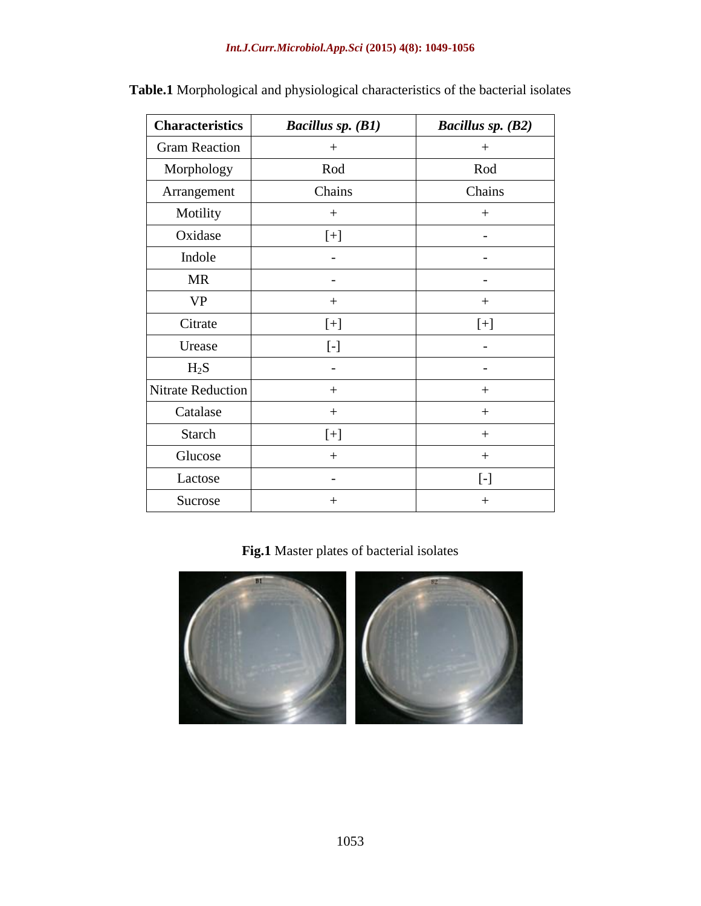### *Int.J.Curr.Microbiol.App.Sci* **(2015) 4(8): 1049-1056**

| <b>Characteristics</b>   | <b>Bacillus sp. (B1)</b> | <b>Bacillus sp. (B2)</b>                                                                                                                                                                                                                                                                                                                                                                                                                                                                                                                                                                             |
|--------------------------|--------------------------|------------------------------------------------------------------------------------------------------------------------------------------------------------------------------------------------------------------------------------------------------------------------------------------------------------------------------------------------------------------------------------------------------------------------------------------------------------------------------------------------------------------------------------------------------------------------------------------------------|
| <b>Gram Reaction</b>     | $+$                      | $^{+}$                                                                                                                                                                                                                                                                                                                                                                                                                                                                                                                                                                                               |
| Morphology               | Rod                      | Rod                                                                                                                                                                                                                                                                                                                                                                                                                                                                                                                                                                                                  |
| Arrangement              | Chains                   | Chains                                                                                                                                                                                                                                                                                                                                                                                                                                                                                                                                                                                               |
| Motility                 | $^{+}$                   | $^{+}$                                                                                                                                                                                                                                                                                                                                                                                                                                                                                                                                                                                               |
| Oxidase                  | $[+]$                    |                                                                                                                                                                                                                                                                                                                                                                                                                                                                                                                                                                                                      |
| Indole                   |                          |                                                                                                                                                                                                                                                                                                                                                                                                                                                                                                                                                                                                      |
| <b>MR</b>                |                          |                                                                                                                                                                                                                                                                                                                                                                                                                                                                                                                                                                                                      |
| <b>VP</b>                | $^{+}$                   | $^{+}$                                                                                                                                                                                                                                                                                                                                                                                                                                                                                                                                                                                               |
| Citrate                  | $[+]$                    | $[+]$                                                                                                                                                                                                                                                                                                                                                                                                                                                                                                                                                                                                |
| Urease                   | $[\cdot]$                |                                                                                                                                                                                                                                                                                                                                                                                                                                                                                                                                                                                                      |
| $H_2S$                   |                          |                                                                                                                                                                                                                                                                                                                                                                                                                                                                                                                                                                                                      |
| <b>Nitrate Reduction</b> | $+$                      | $^{+}$                                                                                                                                                                                                                                                                                                                                                                                                                                                                                                                                                                                               |
| Catalase                 | $+$                      | $^{+}$                                                                                                                                                                                                                                                                                                                                                                                                                                                                                                                                                                                               |
| <b>Starch</b>            | $[+]$                    | $^{+}$                                                                                                                                                                                                                                                                                                                                                                                                                                                                                                                                                                                               |
| Glucose                  | $^{+}$                   | $^{+}$                                                                                                                                                                                                                                                                                                                                                                                                                                                                                                                                                                                               |
| Lactose                  |                          | $\left[ -\right] % \begin{minipage}[b]{.45\linewidth} \centering \includegraphics[width=\linewidth]{images/Example_14]{Example_144m100.pdf} \caption{The image shows the number of times of the number of times.} \label{fig:Example_144m10_144} \end{minipage} \ \ \begin{minipage}[b]{.45\linewidth} \centering \includegraphics[width=\linewidth]{images/Example_144m10_14} \caption{The 3D (blue) and 4D (blue) are the number of times.} \label{fig:Example_144m10_144} \end{minipage} \ \ \begin{minipage}[b]{.45\linewidth} \centering \includegraphics[width=\linewidth]{images/Example_144$ |
| Sucrose                  | $^{+}$                   | $\hspace{0.1mm} +$                                                                                                                                                                                                                                                                                                                                                                                                                                                                                                                                                                                   |

**Table.1** Morphological and physiological characteristics of the bacterial isolates

# **Fig.1** Master plates of bacterial isolates

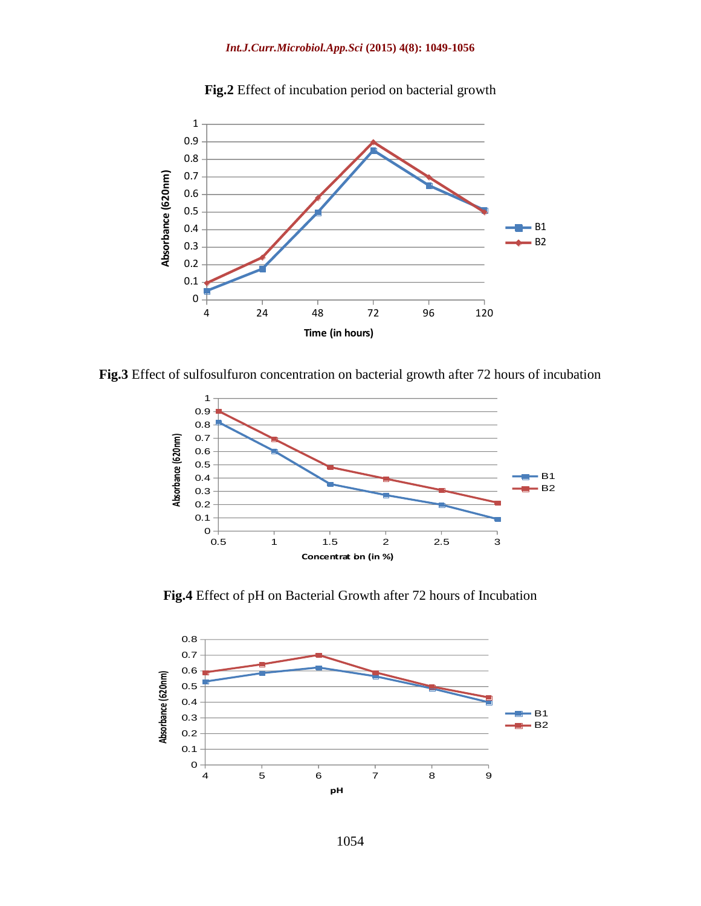

**Fig.2** Effect of incubation period on bacterial growth

**Fig.3** Effect of sulfosulfuron concentration on bacterial growth after 72 hours of incubation



**Fig.4** Effect of pH on Bacterial Growth after 72 hours of Incubation

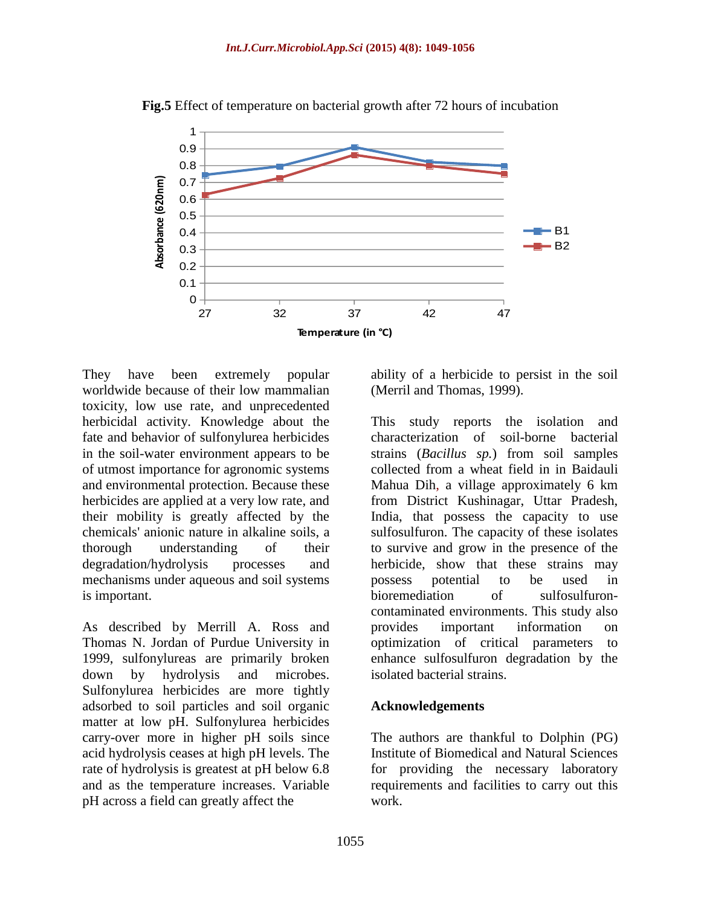

**Fig.5** Effect of temperature on bacterial growth after 72 hours of incubation

They have been extremely popular worldwide because of their low mammalian toxicity, low use rate, and unprecedented herbicidal activity. Knowledge about the fate and behavior of sulfonylurea herbicides in the soil-water environment appears to be of utmost importance for agronomic systems and environmental protection. Because these herbicides are applied at a very low rate, and their mobility is greatly affected by the chemicals' anionic nature in alkaline soils, a thorough understanding of their degradation/hydrolysis processes and mechanisms under aqueous and soil systems is important.

As described by Merrill A. Ross and Thomas N. Jordan of Purdue University in 1999, sulfonylureas are primarily broken down by hydrolysis and microbes. Sulfonylurea herbicides are more tightly adsorbed to soil particles and soil organic matter at low pH. Sulfonylurea herbicides carry-over more in higher pH soils since acid hydrolysis ceases at high pH levels. The rate of hydrolysis is greatest at pH below 6.8 and as the temperature increases. Variable pH across a field can greatly affect the

ability of a herbicide to persist in the soil (Merril and Thomas, 1999).

This study reports the isolation and characterization of soil-borne bacterial strains (*Bacillus sp.*) from soil samples collected from a wheat field in in Baidauli Mahua Dih, a village approximately 6 km from District Kushinagar, Uttar Pradesh, India, that possess the capacity to use sulfosulfuron. The capacity of these isolates to survive and grow in the presence of the herbicide, show that these strains may possess potential to be used in bioremediation of sulfosulfuroncontaminated environments. This study also provides important information on optimization of critical parameters to enhance sulfosulfuron degradation by the isolated bacterial strains.

#### **Acknowledgements**

The authors are thankful to Dolphin (PG) Institute of Biomedical and Natural Sciences for providing the necessary laboratory requirements and facilities to carry out this work.